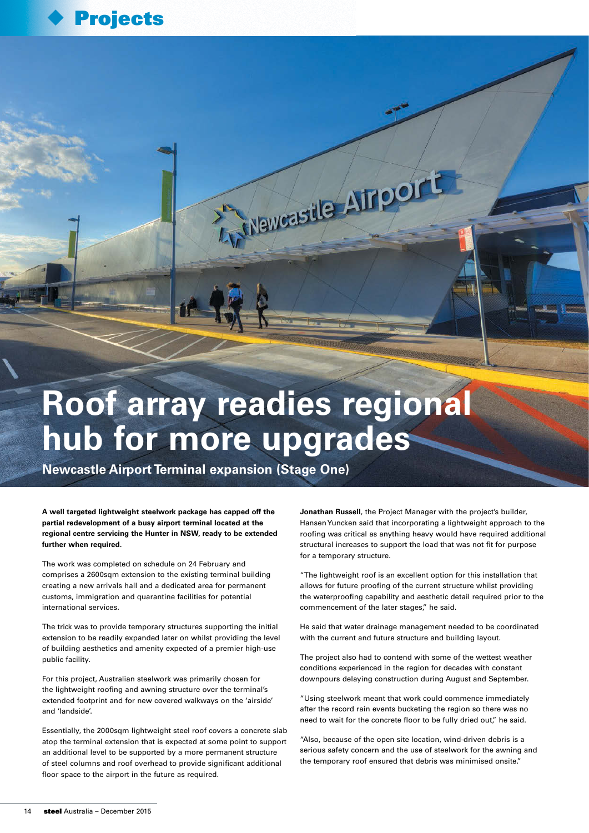

## **Roof array readies regional hub for more upgrades**

A Maweastle Almport

**Newcastle Airport Terminal expansion (Stage One)**

**A well targeted lightweight steelwork package has capped off the partial redevelopment of a busy airport terminal located at the regional centre servicing the Hunter in NSW, ready to be extended further when required.**

The work was completed on schedule on 24 February and comprises a 2600sqm extension to the existing terminal building creating a new arrivals hall and a dedicated area for permanent customs, immigration and quarantine facilities for potential international services.

The trick was to provide temporary structures supporting the initial extension to be readily expanded later on whilst providing the level of building aesthetics and amenity expected of a premier high-use public facility.

For this project, Australian steelwork was primarily chosen for the lightweight roofing and awning structure over the terminal's extended footprint and for new covered walkways on the 'airside' and 'landside'.

Essentially, the 2000sqm lightweight steel roof covers a concrete slab atop the terminal extension that is expected at some point to support an additional level to be supported by a more permanent structure of steel columns and roof overhead to provide significant additional floor space to the airport in the future as required.

**Jonathan Russell**, the Project Manager with the project's builder, Hansen Yuncken said that incorporating a lightweight approach to the roofing was critical as anything heavy would have required additional structural increases to support the load that was not fit for purpose for a temporary structure.

"The lightweight roof is an excellent option for this installation that allows for future proofing of the current structure whilst providing the waterproofing capability and aesthetic detail required prior to the commencement of the later stages," he said.

He said that water drainage management needed to be coordinated with the current and future structure and building layout.

The project also had to contend with some of the wettest weather conditions experienced in the region for decades with constant downpours delaying construction during August and September.

"Using steelwork meant that work could commence immediately after the record rain events bucketing the region so there was no need to wait for the concrete floor to be fully dried out," he said.

"Also, because of the open site location, wind-driven debris is a serious safety concern and the use of steelwork for the awning and the temporary roof ensured that debris was minimised onsite."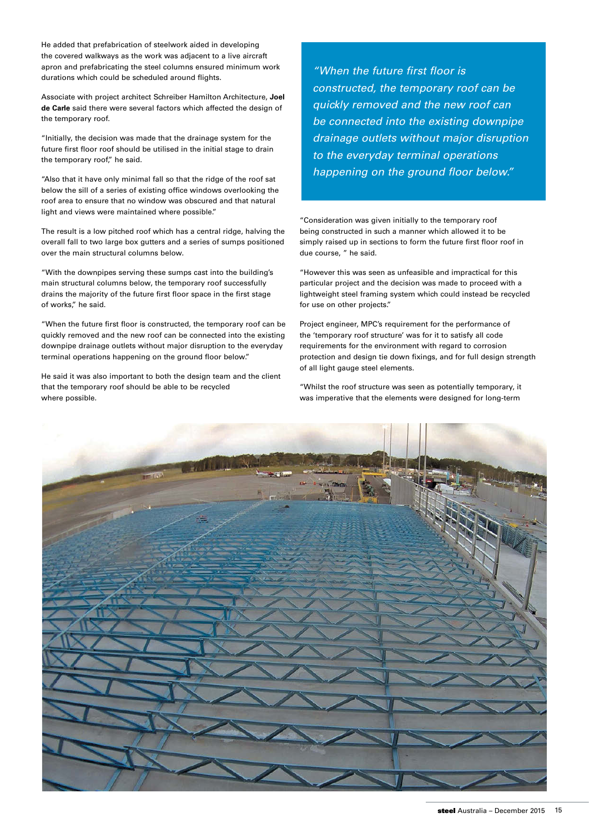He added that prefabrication of steelwork aided in developing the covered walkways as the work was adjacent to a live aircraft apron and prefabricating the steel columns ensured minimum work durations which could be scheduled around flights.

Associate with project architect Schreiber Hamilton Architecture, **Joel de Carle** said there were several factors which affected the design of the temporary roof.

"Initially, the decision was made that the drainage system for the future first floor roof should be utilised in the initial stage to drain the temporary roof," he said.

"Also that it have only minimal fall so that the ridge of the roof sat below the sill of a series of existing office windows overlooking the roof area to ensure that no window was obscured and that natural light and views were maintained where possible."

The result is a low pitched roof which has a central ridge, halving the overall fall to two large box gutters and a series of sumps positioned over the main structural columns below.

"With the downpipes serving these sumps cast into the building's main structural columns below, the temporary roof successfully drains the majority of the future first floor space in the first stage of works," he said.

"When the future first floor is constructed, the temporary roof can be quickly removed and the new roof can be connected into the existing downpipe drainage outlets without major disruption to the everyday terminal operations happening on the ground floor below."

He said it was also important to both the design team and the client that the temporary roof should be able to be recycled where possible.

"When the future first floor is constructed, the temporary roof can be quickly removed and the new roof can be connected into the existing downpipe drainage outlets without major disruption to the everyday terminal operations happening on the ground floor below."

"Consideration was given initially to the temporary roof being constructed in such a manner which allowed it to be simply raised up in sections to form the future first floor roof in due course, " he said.

"However this was seen as unfeasible and impractical for this particular project and the decision was made to proceed with a lightweight steel framing system which could instead be recycled for use on other projects."

Project engineer, MPC's requirement for the performance of the 'temporary roof structure' was for it to satisfy all code requirements for the environment with regard to corrosion protection and design tie down fixings, and for full design strength of all light gauge steel elements.

"Whilst the roof structure was seen as potentially temporary, it was imperative that the elements were designed for long-term